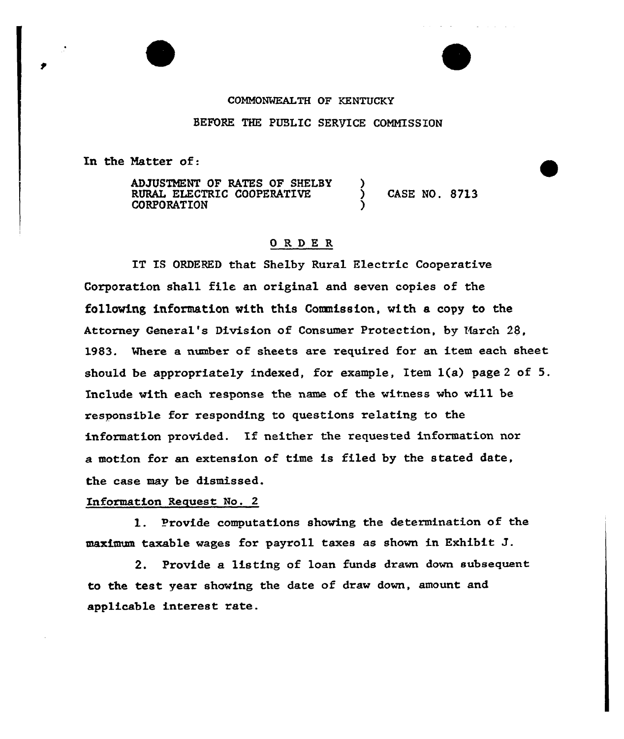## CONKONMEALTH OF KENTUCKY

## BEFORE THE PUBLIC SERVICE COMMISSION

In the Hatter of:

ADJUSTMENT OF RATES OF SHELBY )<br>RURAL ELECTRIC COOPERATIVE ) RURAL ELECTRIC COOPERATIVE ) CASE NO. 8713 **CORPORATION** 

## 0RDE <sup>R</sup>

IT IS ORDERED that Shelby Rural Electric Cooperative Corporation shall file an original and seven copies of the following information with this Conmission, with e copy to the Attorney General's Division of Consumer Protection, by 'March 28, l983. Where a number of sheets are required for an item each sheet should be appropriately indexed, for example, Item 1(a} page <sup>2</sup> of 5. Include with each response the name of the witness who will be responsible for responding to questions relating to the information provided. If neither the requested information nor a motion for an extension of time is filed by the stated date, the case may be dismissed.

## Information Request No. 2

1. Provide computations showing the determination of the maximum taxable wages for payroll taxes as shown in Exhibit J.

2. Provide a listing of loan funds drawn down subsequent to the test year showing the date of draw down, amount and applicable interest rate.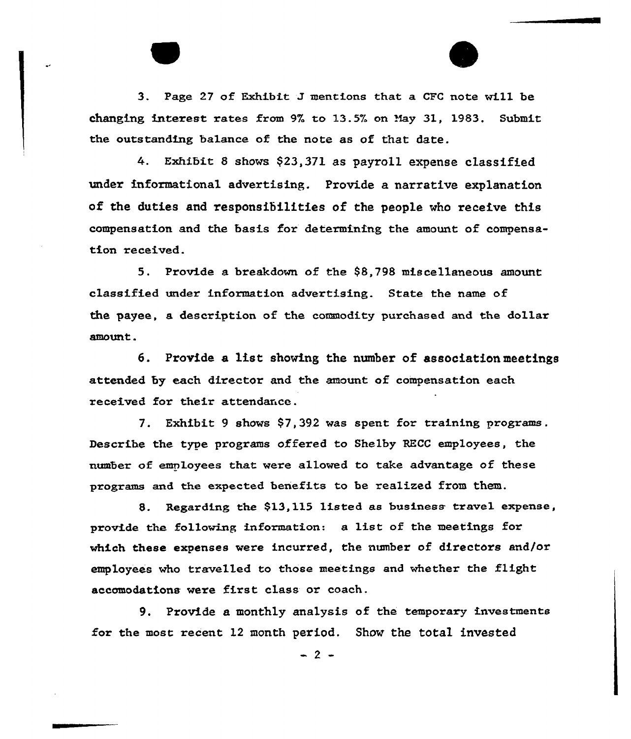3. Page <sup>27</sup> of Exhibit J mentions that a CFC note will be changing interest rates from 9% to 13.5% on May 31, 1983. Submit the outstanding balance of the note as of that date.

4. Exhibit <sup>8</sup> shows \$23,371 as payroll expense classified under informational advextising. Provide a narrative explanation of the duties and responsibilities of the people who receive this compensation and the basis for determining the amount of compensation xeceived.

5. Provide a breakdown of the \$8,798 miscellaneous amount classified undex information advextising. State the name of the payee, a description of the commodity purchased and the dollar amount.

6. Provide a list showing the number of association meetings attended by each director and the amount of compensation each received for their attendance.

7. Exhibit 9 shows \$7,392 was spent for training pxogxams. Describe the type programs offered to Shelby RECC employees, the numbex of employees that. wexe allowed to take advantage of these programs and the expected benefits to be realized from them.

8. Regarding the \$13,115 listed as business travel expense, provide the following information: a list of the meetings for which these expenses were incurred, the number of directors and/or employees who txavelled to those meetings and whether the flight accomodations wexe first class or coach.

9. Provide a monthly analysis of the temporary investments for the most recent 12 month period. Show the total invested

 $-2-$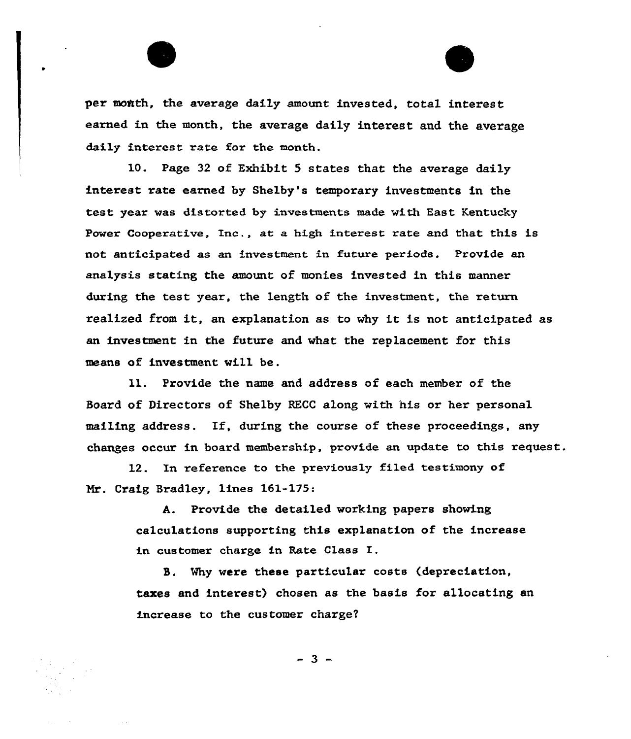per month, the average daily amount invested, total interest earned in the month, the average daily interest and the average daily interest rate for the month.

10. Page 32 of Exhibit 5 states that the average daily interest rate earned by Shelby's temporary investments in the test year was distorted by investments made with East Kentucky Power Cooperative, Inc., at a high interest rate and that this is not anticipated as an investment in future periods. Provide an analysis stating the amount of monies invested in this manner during the test year, the length of the investment, the return realized from it, an explanation as to why it is not anticipated as an investment in the future and what the replacement for this means of investment will be.

ll. Provide the name and address of each member of the Board of Directors of Shelby RECC along with his or her personal mailing address. If, during the course of these proceedings, any changes occur in board membership, provide an update to this request.

12. In reference to the previously filed testimony of Nr. Craig Bradley, lines 161-175:

> A. Provide the detailed working papers showing calculations supporting this explanation of the increase in customer charge in Rate CLass I.

S. Mhy were these particular costs (depreciation, taxes and interest) chosen as the basis for allocating an increase to the customer charge?

 $-3 -$